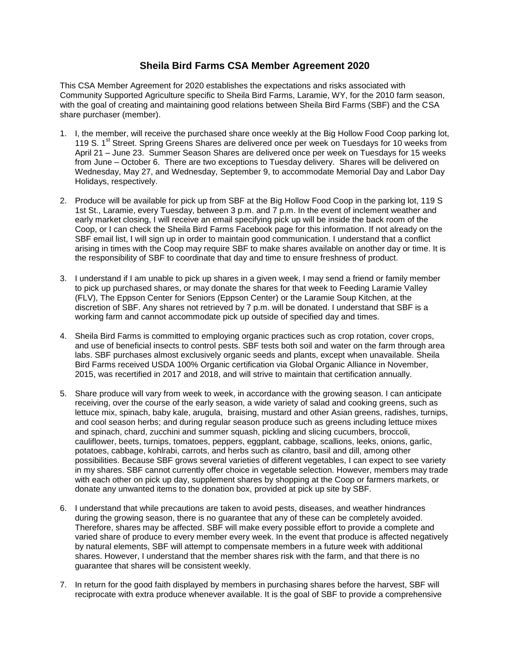## **Sheila Bird Farms CSA Member Agreement 2020**

This CSA Member Agreement for 2020 establishes the expectations and risks associated with Community Supported Agriculture specific to Sheila Bird Farms, Laramie, WY, for the 2010 farm season, with the goal of creating and maintaining good relations between Sheila Bird Farms (SBF) and the CSA share purchaser (member).

- 1. I, the member, will receive the purchased share once weekly at the Big Hollow Food Coop parking lot, 119 S. 1<sup>st</sup> Street. Spring Greens Shares are delivered once per week on Tuesdays for 10 weeks from April 21 – June 23. Summer Season Shares are delivered once per week on Tuesdays for 15 weeks from June – October 6. There are two exceptions to Tuesday delivery. Shares will be delivered on Wednesday, May 27, and Wednesday, September 9, to accommodate Memorial Day and Labor Day Holidays, respectively.
- 2. Produce will be available for pick up from SBF at the Big Hollow Food Coop in the parking lot, 119 S 1st St., Laramie, every Tuesday, between 3 p.m. and 7 p.m. In the event of inclement weather and early market closing, I will receive an email specifying pick up will be inside the back room of the Coop, or I can check the Sheila Bird Farms Facebook page for this information. If not already on the SBF email list, I will sign up in order to maintain good communication. I understand that a conflict arising in times with the Coop may require SBF to make shares available on another day or time. It is the responsibility of SBF to coordinate that day and time to ensure freshness of product.
- 3. I understand if I am unable to pick up shares in a given week, I may send a friend or family member to pick up purchased shares, or may donate the shares for that week to Feeding Laramie Valley (FLV), The Eppson Center for Seniors (Eppson Center) or the Laramie Soup Kitchen, at the discretion of SBF. Any shares not retrieved by 7 p.m. will be donated. I understand that SBF is a working farm and cannot accommodate pick up outside of specified day and times.
- 4. Sheila Bird Farms is committed to employing organic practices such as crop rotation, cover crops, and use of beneficial insects to control pests. SBF tests both soil and water on the farm through area labs. SBF purchases almost exclusively organic seeds and plants, except when unavailable. Sheila Bird Farms received USDA 100% Organic certification via Global Organic Alliance in November, 2015, was recertified in 2017 and 2018, and will strive to maintain that certification annually.
- 5. Share produce will vary from week to week, in accordance with the growing season. I can anticipate receiving, over the course of the early season, a wide variety of salad and cooking greens, such as lettuce mix, spinach, baby kale, arugula, braising, mustard and other Asian greens, radishes, turnips, and cool season herbs; and during regular season produce such as greens including lettuce mixes and spinach, chard, zucchini and summer squash, pickling and slicing cucumbers, broccoli, cauliflower, beets, turnips, tomatoes, peppers, eggplant, cabbage, scallions, leeks, onions, garlic, potatoes, cabbage, kohlrabi, carrots, and herbs such as cilantro, basil and dill, among other possibilities. Because SBF grows several varieties of different vegetables, I can expect to see variety in my shares. SBF cannot currently offer choice in vegetable selection. However, members may trade with each other on pick up day, supplement shares by shopping at the Coop or farmers markets, or donate any unwanted items to the donation box, provided at pick up site by SBF.
- 6. I understand that while precautions are taken to avoid pests, diseases, and weather hindrances during the growing season, there is no guarantee that any of these can be completely avoided. Therefore, shares may be affected. SBF will make every possible effort to provide a complete and varied share of produce to every member every week. In the event that produce is affected negatively by natural elements, SBF will attempt to compensate members in a future week with additional shares. However, I understand that the member shares risk with the farm, and that there is no guarantee that shares will be consistent weekly.
- 7. In return for the good faith displayed by members in purchasing shares before the harvest, SBF will reciprocate with extra produce whenever available. It is the goal of SBF to provide a comprehensive